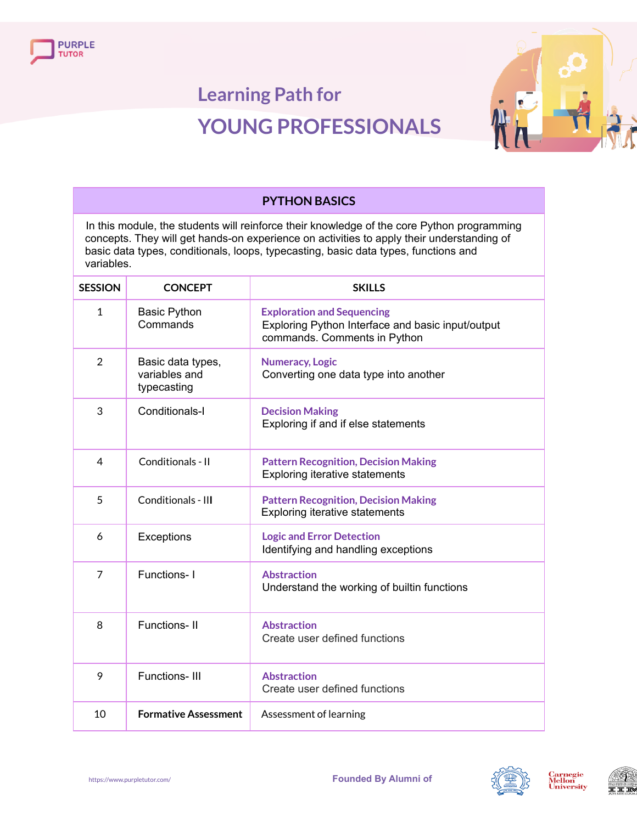



| <b>PYTHON BASICS</b>                                                                                                                                                                                                                                                                         |                                                   |                                                                                                                        |
|----------------------------------------------------------------------------------------------------------------------------------------------------------------------------------------------------------------------------------------------------------------------------------------------|---------------------------------------------------|------------------------------------------------------------------------------------------------------------------------|
| In this module, the students will reinforce their knowledge of the core Python programming<br>concepts. They will get hands-on experience on activities to apply their understanding of<br>basic data types, conditionals, loops, typecasting, basic data types, functions and<br>variables. |                                                   |                                                                                                                        |
| <b>SESSION</b>                                                                                                                                                                                                                                                                               | <b>CONCEPT</b>                                    | <b>SKILLS</b>                                                                                                          |
| $\mathbf{1}$                                                                                                                                                                                                                                                                                 | <b>Basic Python</b><br>Commands                   | <b>Exploration and Sequencing</b><br>Exploring Python Interface and basic input/output<br>commands. Comments in Python |
| $\overline{2}$                                                                                                                                                                                                                                                                               | Basic data types,<br>variables and<br>typecasting | <b>Numeracy, Logic</b><br>Converting one data type into another                                                        |
| 3                                                                                                                                                                                                                                                                                            | Conditionals-I                                    | <b>Decision Making</b><br>Exploring if and if else statements                                                          |
| 4                                                                                                                                                                                                                                                                                            | Conditionals - II                                 | <b>Pattern Recognition, Decision Making</b><br><b>Exploring iterative statements</b>                                   |
| 5                                                                                                                                                                                                                                                                                            | Conditionals - III                                | <b>Pattern Recognition, Decision Making</b><br><b>Exploring iterative statements</b>                                   |
| 6                                                                                                                                                                                                                                                                                            | Exceptions                                        | <b>Logic and Error Detection</b><br>Identifying and handling exceptions                                                |
| $\overline{7}$                                                                                                                                                                                                                                                                               | Functions-1                                       | <b>Abstraction</b><br>Understand the working of builtin functions                                                      |
| 8                                                                                                                                                                                                                                                                                            | <b>Functions-II</b>                               | <b>Abstraction</b><br>Create user defined functions                                                                    |
| 9                                                                                                                                                                                                                                                                                            | Functions-III                                     | <b>Abstraction</b><br>Create user defined functions                                                                    |
| 10                                                                                                                                                                                                                                                                                           | <b>Formative Assessment</b>                       | Assessment of learning                                                                                                 |









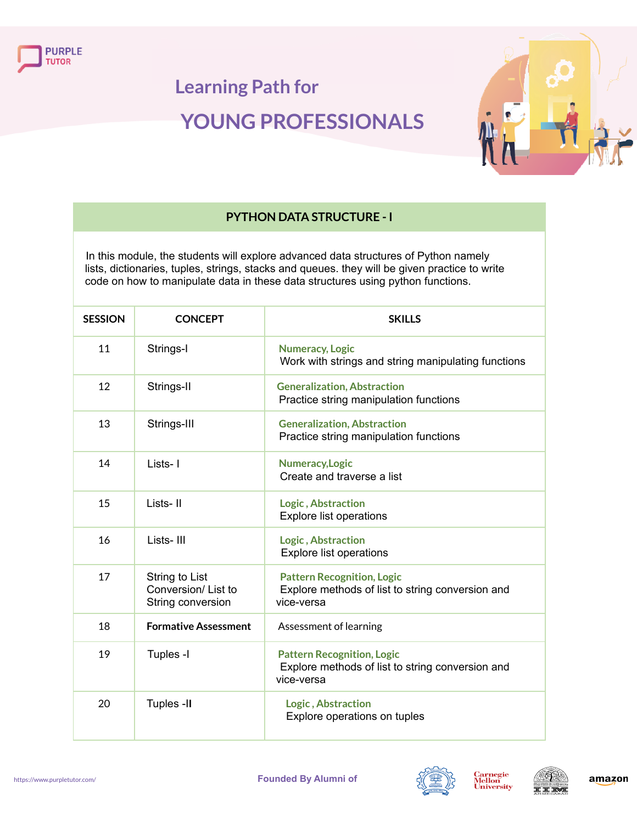



### **PYTHON DATA STRUCTURE - I**

In this module, the students will explore advanced data structures of Python namely lists, dictionaries, tuples, strings, stacks and queues. they will be given practice to write code on how to manipulate data in these data structures using python functions.

| <b>SESSION</b> | <b>CONCEPT</b>                                            | <b>SKILLS</b>                                                                                       |
|----------------|-----------------------------------------------------------|-----------------------------------------------------------------------------------------------------|
| 11             | Strings-I                                                 | <b>Numeracy, Logic</b><br>Work with strings and string manipulating functions                       |
| 12             | Strings-II                                                | <b>Generalization, Abstraction</b><br>Practice string manipulation functions                        |
| 13             | Strings-III                                               | <b>Generalization, Abstraction</b><br>Practice string manipulation functions                        |
| 14             | Lists-1                                                   | Numeracy, Logic<br>Create and traverse a list                                                       |
| 15             | Lists-II                                                  | Logic, Abstraction<br><b>Explore list operations</b>                                                |
| 16             | Lists-III                                                 | Logic, Abstraction<br><b>Explore list operations</b>                                                |
| 17             | String to List<br>Conversion/List to<br>String conversion | <b>Pattern Recognition, Logic</b><br>Explore methods of list to string conversion and<br>vice-versa |
| 18             | <b>Formative Assessment</b>                               | Assessment of learning                                                                              |
| 19             | Tuples -I                                                 | <b>Pattern Recognition, Logic</b><br>Explore methods of list to string conversion and<br>vice-versa |
| 20             | Tuples -II                                                | Logic, Abstraction<br>Explore operations on tuples                                                  |



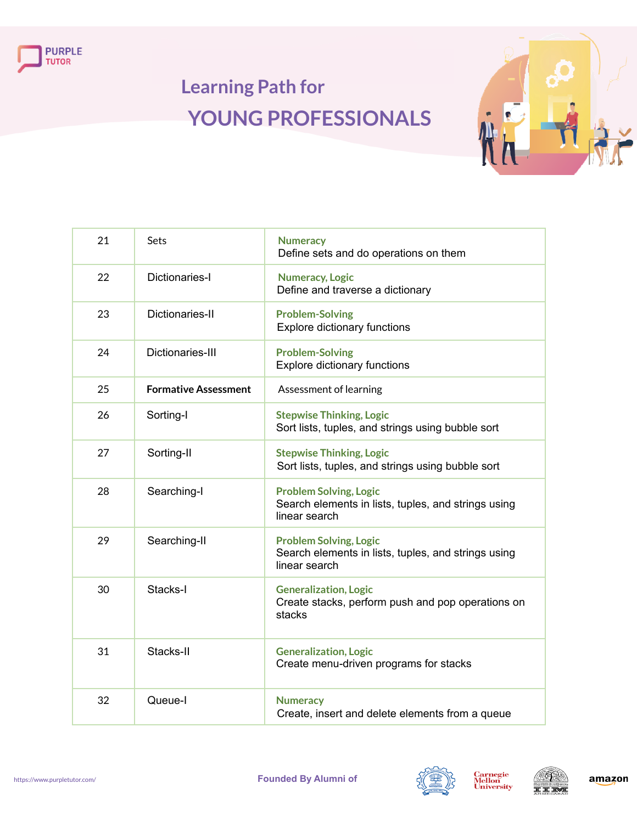



| 21 | Sets                        | <b>Numeracy</b><br>Define sets and do operations on them                                              |
|----|-----------------------------|-------------------------------------------------------------------------------------------------------|
| 22 | Dictionaries-I              | <b>Numeracy, Logic</b><br>Define and traverse a dictionary                                            |
| 23 | Dictionaries-II             | <b>Problem-Solving</b><br><b>Explore dictionary functions</b>                                         |
| 24 | Dictionaries-III            | <b>Problem-Solving</b><br><b>Explore dictionary functions</b>                                         |
| 25 | <b>Formative Assessment</b> | Assessment of learning                                                                                |
| 26 | Sorting-I                   | <b>Stepwise Thinking, Logic</b><br>Sort lists, tuples, and strings using bubble sort                  |
| 27 | Sorting-II                  | <b>Stepwise Thinking, Logic</b><br>Sort lists, tuples, and strings using bubble sort                  |
| 28 | Searching-I                 | <b>Problem Solving, Logic</b><br>Search elements in lists, tuples, and strings using<br>linear search |
| 29 | Searching-II                | <b>Problem Solving, Logic</b><br>Search elements in lists, tuples, and strings using<br>linear search |
| 30 | Stacks-I                    | <b>Generalization, Logic</b><br>Create stacks, perform push and pop operations on<br>stacks           |
| 31 | Stacks-II                   | <b>Generalization, Logic</b><br>Create menu-driven programs for stacks                                |
| 32 | Queue-I                     | <b>Numeracy</b><br>Create, insert and delete elements from a queue                                    |



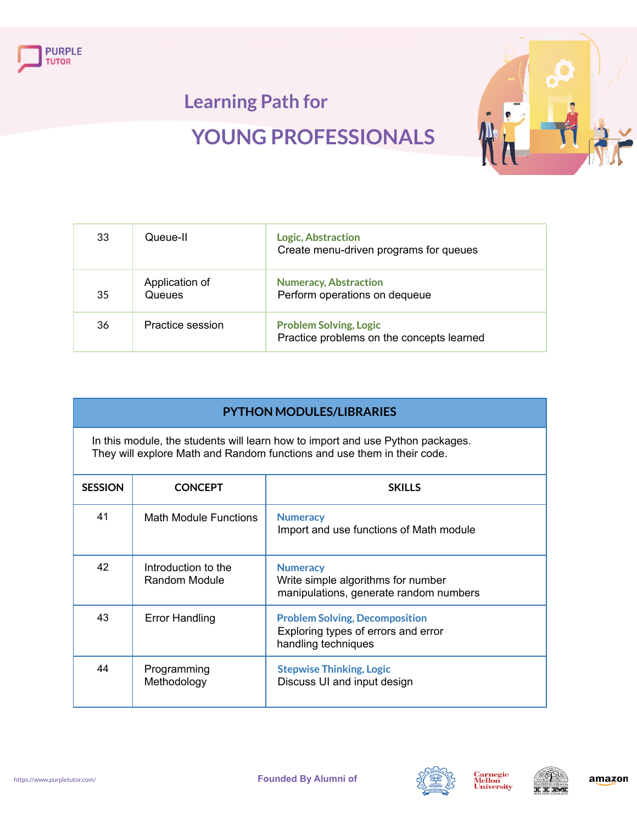



| 33 | Queue-II                 | <b>Logic, Abstraction</b><br>Create menu-driven programs for queues        |
|----|--------------------------|----------------------------------------------------------------------------|
| 35 | Application of<br>Queues | <b>Numeracy, Abstraction</b><br>Perform operations on dequeue              |
| 36 | Practice session         | <b>Problem Solving, Logic</b><br>Practice problems on the concepts learned |

In this module, the students will learn how to import and use Python packages. They will explore Math and Random functions and use them in their code.

| <b>SESSION</b> | <b>CONCEPT</b>                       | <b>SKILLS</b>                                                                                       |
|----------------|--------------------------------------|-----------------------------------------------------------------------------------------------------|
| 41             | Math Module Functions                | <b>Numeracy</b><br>Import and use functions of Math module                                          |
| 42             | Introduction to the<br>Random Module | <b>Numeracy</b><br>Write simple algorithms for number<br>manipulations, generate random numbers     |
| 43             | <b>Error Handling</b>                | <b>Problem Solving, Decomposition</b><br>Exploring types of errors and error<br>handling techniques |
| 44             | Programming<br>Methodology           | <b>Stepwise Thinking, Logic</b><br>Discuss UI and input design                                      |



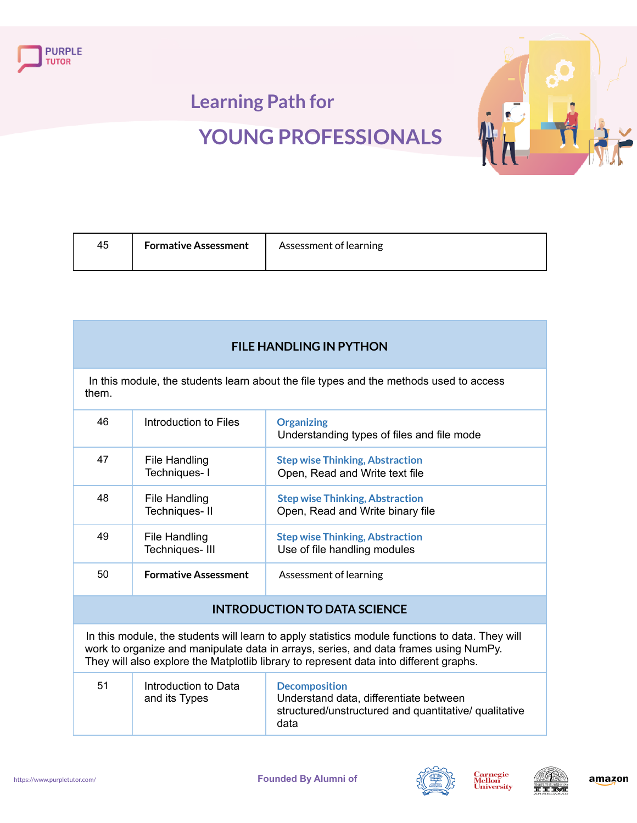



| 45 | <b>Formative Assessment</b> | Assessment of learning |
|----|-----------------------------|------------------------|
|----|-----------------------------|------------------------|

#### **FILE HANDLING IN PYTHON**

In this module, the students learn about the file types and the methods used to access them.

| 46 | Introduction to Files           | <b>Organizing</b><br>Understanding types of files and file mode            |
|----|---------------------------------|----------------------------------------------------------------------------|
| 47 | File Handling<br>Techniques-I   | <b>Step wise Thinking, Abstraction</b><br>Open, Read and Write text file   |
| 48 | File Handling<br>Techniques-II  | <b>Step wise Thinking, Abstraction</b><br>Open, Read and Write binary file |
| 49 | File Handling<br>Techniques-III | <b>Step wise Thinking, Abstraction</b><br>Use of file handling modules     |
| 50 | <b>Formative Assessment</b>     | Assessment of learning                                                     |

#### **INTRODUCTION TO DATA SCIENCE**

In this module, the students will learn to apply statistics module functions to data. They will work to organize and manipulate data in arrays, series, and data frames using NumPy. They will also explore the Matplotlib library to represent data into different graphs.

| 51 | Introduction to Data<br>and its Types | <b>Decomposition</b><br>Understand data, differentiate between<br>structured/unstructured and quantitative/ qualitative<br>data |
|----|---------------------------------------|---------------------------------------------------------------------------------------------------------------------------------|
|----|---------------------------------------|---------------------------------------------------------------------------------------------------------------------------------|



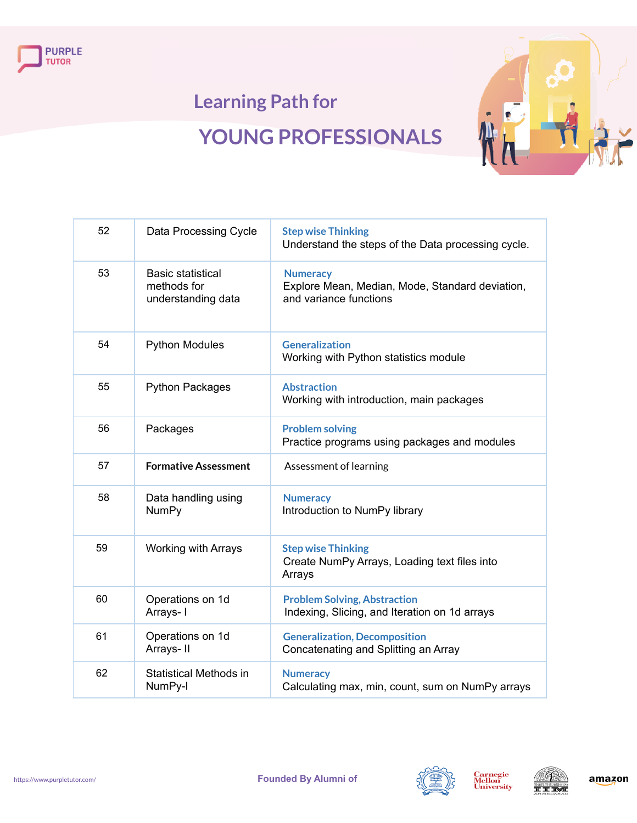



| 52 | Data Processing Cycle                                         | <b>Step wise Thinking</b><br>Understand the steps of the Data processing cycle.              |
|----|---------------------------------------------------------------|----------------------------------------------------------------------------------------------|
| 53 | <b>Basic statistical</b><br>methods for<br>understanding data | <b>Numeracy</b><br>Explore Mean, Median, Mode, Standard deviation,<br>and variance functions |
| 54 | <b>Python Modules</b>                                         | <b>Generalization</b><br>Working with Python statistics module                               |
| 55 | <b>Python Packages</b>                                        | <b>Abstraction</b><br>Working with introduction, main packages                               |
| 56 | Packages                                                      | <b>Problem solving</b><br>Practice programs using packages and modules                       |
| 57 | <b>Formative Assessment</b>                                   | Assessment of learning                                                                       |
| 58 | Data handling using<br><b>NumPy</b>                           | <b>Numeracy</b><br>Introduction to NumPy library                                             |
| 59 | <b>Working with Arrays</b>                                    | <b>Step wise Thinking</b><br>Create NumPy Arrays, Loading text files into<br>Arrays          |
| 60 | Operations on 1d<br>Arrays- I                                 | <b>Problem Solving, Abstraction</b><br>Indexing, Slicing, and Iteration on 1d arrays         |
| 61 | Operations on 1d<br>Arrays-II                                 | <b>Generalization, Decomposition</b><br>Concatenating and Splitting an Array                 |
| 62 | Statistical Methods in<br>NumPy-I                             | <b>Numeracy</b><br>Calculating max, min, count, sum on NumPy arrays                          |





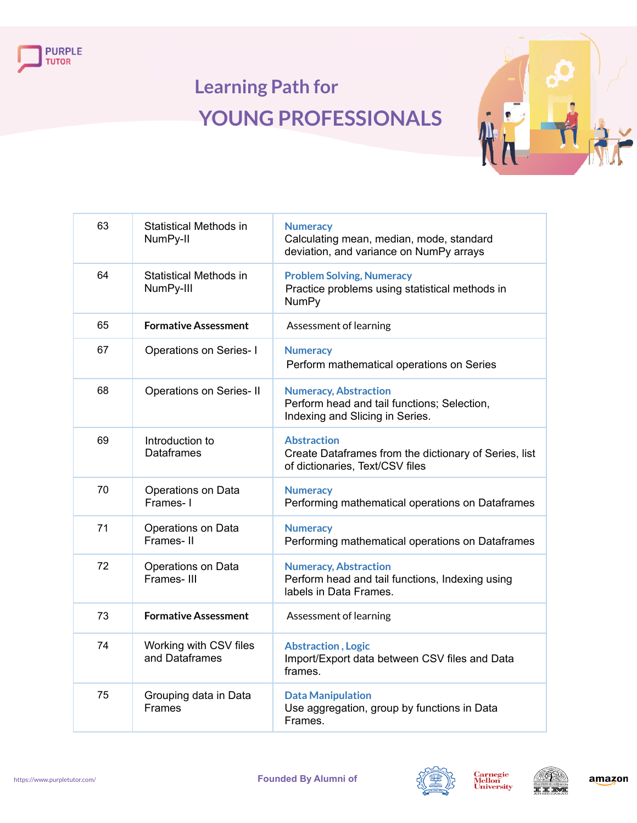



| 63 | <b>Statistical Methods in</b><br>NumPy-II  | <b>Numeracy</b><br>Calculating mean, median, mode, standard<br>deviation, and variance on NumPy arrays         |
|----|--------------------------------------------|----------------------------------------------------------------------------------------------------------------|
| 64 | <b>Statistical Methods in</b><br>NumPy-III | <b>Problem Solving, Numeracy</b><br>Practice problems using statistical methods in<br><b>NumPy</b>             |
| 65 | <b>Formative Assessment</b>                | Assessment of learning                                                                                         |
| 67 | <b>Operations on Series-I</b>              | <b>Numeracy</b><br>Perform mathematical operations on Series                                                   |
| 68 | <b>Operations on Series-II</b>             | <b>Numeracy, Abstraction</b><br>Perform head and tail functions; Selection,<br>Indexing and Slicing in Series. |
| 69 | Introduction to<br><b>Dataframes</b>       | <b>Abstraction</b><br>Create Dataframes from the dictionary of Series, list<br>of dictionaries, Text/CSV files |
| 70 | Operations on Data<br>Frames-1             | <b>Numeracy</b><br>Performing mathematical operations on Dataframes                                            |
| 71 | Operations on Data<br>Frames-II            | <b>Numeracy</b><br>Performing mathematical operations on Dataframes                                            |
| 72 | Operations on Data<br>Frames-III           | <b>Numeracy, Abstraction</b><br>Perform head and tail functions, Indexing using<br>labels in Data Frames.      |
| 73 | <b>Formative Assessment</b>                | Assessment of learning                                                                                         |
| 74 | Working with CSV files<br>and Dataframes   | <b>Abstraction, Logic</b><br>Import/Export data between CSV files and Data<br>frames.                          |
| 75 | Grouping data in Data<br><b>Frames</b>     | <b>Data Manipulation</b><br>Use aggregation, group by functions in Data<br>Frames.                             |



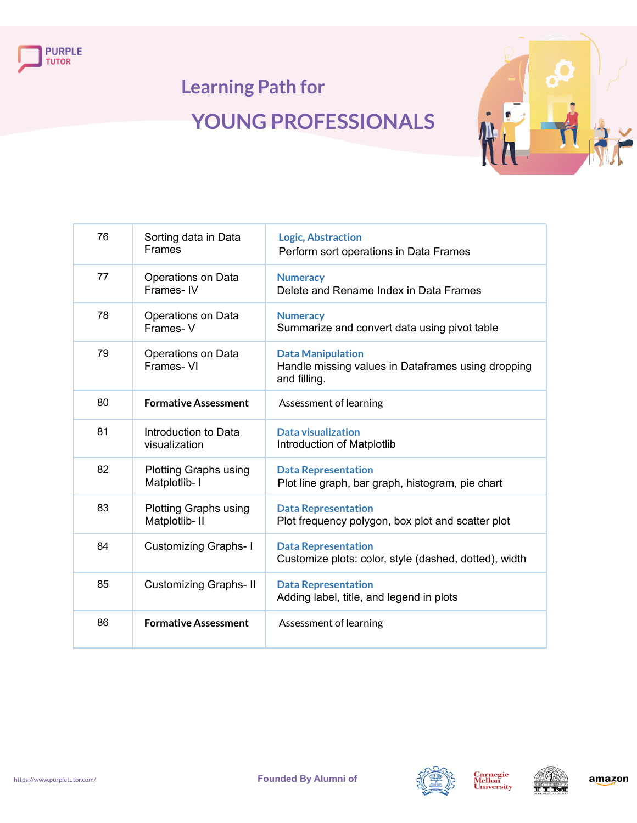



| 76 | Sorting data in Data<br><b>Frames</b>          | <b>Logic, Abstraction</b><br>Perform sort operations in Data Frames                            |
|----|------------------------------------------------|------------------------------------------------------------------------------------------------|
| 77 | Operations on Data<br>Frames-IV                | <b>Numeracy</b><br>Delete and Rename Index in Data Frames                                      |
| 78 | Operations on Data<br>Frames-V                 | <b>Numeracy</b><br>Summarize and convert data using pivot table                                |
| 79 | Operations on Data<br>Frames-VI                | <b>Data Manipulation</b><br>Handle missing values in Dataframes using dropping<br>and filling. |
| 80 | <b>Formative Assessment</b>                    | Assessment of learning                                                                         |
| 81 | Introduction to Data<br>visualization          | <b>Data visualization</b><br>Introduction of Matplotlib                                        |
| 82 | <b>Plotting Graphs using</b><br>Matplotlib- I  | <b>Data Representation</b><br>Plot line graph, bar graph, histogram, pie chart                 |
| 83 | <b>Plotting Graphs using</b><br>Matplotlib- II | <b>Data Representation</b><br>Plot frequency polygon, box plot and scatter plot                |
| 84 | <b>Customizing Graphs-1</b>                    | <b>Data Representation</b><br>Customize plots: color, style (dashed, dotted), width            |
| 85 | <b>Customizing Graphs-II</b>                   | <b>Data Representation</b><br>Adding label, title, and legend in plots                         |
| 86 | <b>Formative Assessment</b>                    | Assessment of learning                                                                         |





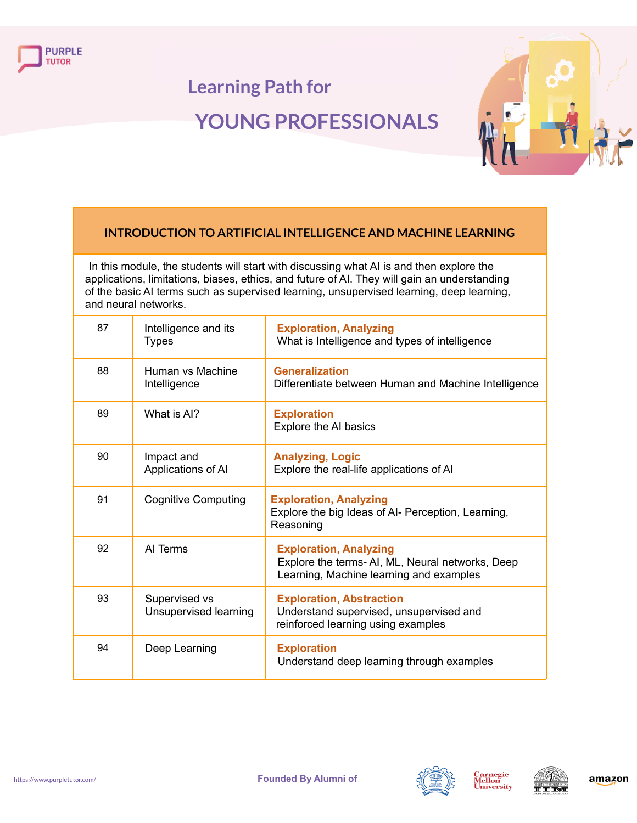



### **INTRODUCTION TO ARTIFICIAL INTELLIGENCE AND MACHINE LEARNING**

In this module, the students will start with discussing what AI is and then explore the applications, limitations, biases, ethics, and future of AI. They will gain an understanding of the basic AI terms such as supervised learning, unsupervised learning, deep learning, and neural networks.

| 87 | Intelligence and its<br><b>Types</b>   | <b>Exploration, Analyzing</b><br>What is Intelligence and types of intelligence                                             |
|----|----------------------------------------|-----------------------------------------------------------------------------------------------------------------------------|
| 88 | Human vs Machine<br>Intelligence       | <b>Generalization</b><br>Differentiate between Human and Machine Intelligence                                               |
| 89 | What is AI?                            | <b>Exploration</b><br>Explore the AI basics                                                                                 |
| 90 | Impact and<br>Applications of Al       | <b>Analyzing, Logic</b><br>Explore the real-life applications of Al                                                         |
| 91 | <b>Cognitive Computing</b>             | <b>Exploration, Analyzing</b><br>Explore the big Ideas of AI- Perception, Learning,<br>Reasoning                            |
| 92 | AI Terms                               | <b>Exploration, Analyzing</b><br>Explore the terms-AI, ML, Neural networks, Deep<br>Learning, Machine learning and examples |
| 93 | Supervised vs<br>Unsupervised learning | <b>Exploration, Abstraction</b><br>Understand supervised, unsupervised and<br>reinforced learning using examples            |
| 94 | Deep Learning                          | <b>Exploration</b><br>Understand deep learning through examples                                                             |